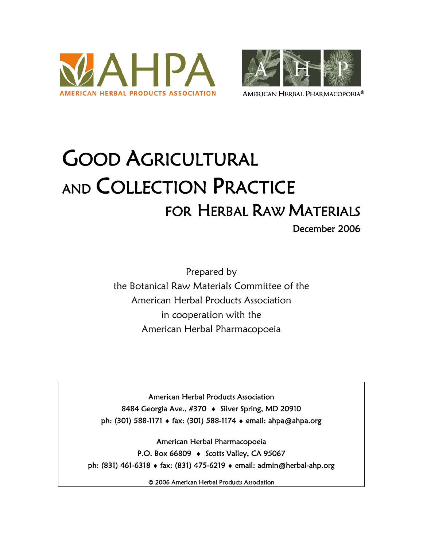



# GOOD AGRICULTURAL AND COLLECTION PRACTICE FOR HERBAL RAW MATERIALS

Prepared by the Botanical Raw Materials Committee of the American Herbal Products Association in cooperation with the American Herbal Pharmacopoeia

American Herbal Products Association 8484 Georgia Ave., #370 • Silver Spring, MD 20910 ph: (301) 588-1171 ♦ fax: (301) 588-1174 ♦ email: ahpa@ahpa.org

American Herbal Pharmacopoeia P.O. Box 66809 ♦ Scotts Valley, CA 95067 ph: (831) 461-6318 ♦ fax: (831) 475-6219 ♦ email: admin@herbal-ahp.org

© 2006 American Herbal Products Association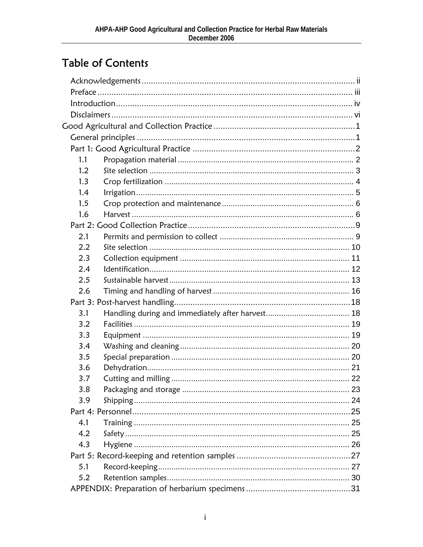#### **Table of Contents**

| 1.1 |  |
|-----|--|
| 1.2 |  |
| 1.3 |  |
| 1.4 |  |
| 1.5 |  |
| 1.6 |  |
|     |  |
| 2.1 |  |
| 2.2 |  |
| 2.3 |  |
| 2.4 |  |
| 2.5 |  |
| 2.6 |  |
|     |  |
| 3.1 |  |
| 3.2 |  |
| 3.3 |  |
| 3.4 |  |
| 3.5 |  |
| 3.6 |  |
| 3.7 |  |
| 3.8 |  |
| 3.9 |  |
|     |  |
| 4.1 |  |
| 4.2 |  |
| 4.3 |  |
|     |  |
| 5.1 |  |
| 5.2 |  |
|     |  |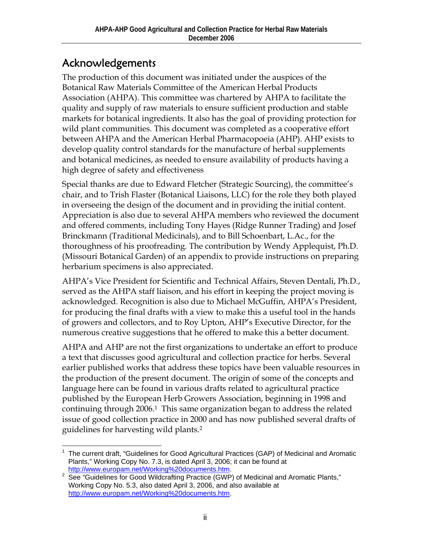#### Acknowledgements

The production of this document was initiated under the auspices of the Botanical Raw Materials Committee of the American Herbal Products Association (AHPA). This committee was chartered by AHPA to facilitate the quality and supply of raw materials to ensure sufficient production and stable markets for botanical ingredients. It also has the goal of providing protection for wild plant communities. This document was completed as a cooperative effort between AHPA and the American Herbal Pharmacopoeia (AHP). AHP exists to develop quality control standards for the manufacture of herbal supplements and botanical medicines, as needed to ensure availability of products having a high degree of safety and effectiveness

Special thanks are due to Edward Fletcher (Strategic Sourcing), the committee's chair, and to Trish Flaster (Botanical Liaisons, LLC) for the role they both played in overseeing the design of the document and in providing the initial content. Appreciation is also due to several AHPA members who reviewed the document and offered comments, including Tony Hayes (Ridge Runner Trading) and Josef Brinckmann (Traditional Medicinals), and to Bill Schoenbart, L.Ac., for the thoroughness of his proofreading. The contribution by Wendy Applequist, Ph.D. (Missouri Botanical Garden) of an appendix to provide instructions on preparing herbarium specimens is also appreciated.

AHPA's Vice President for Scientific and Technical Affairs, Steven Dentali, Ph.D., served as the AHPA staff liaison, and his effort in keeping the project moving is acknowledged. Recognition is also due to Michael McGuffin, AHPA's President, for producing the final drafts with a view to make this a useful tool in the hands of growers and collectors, and to Roy Upton, AHP's Executive Director, for the numerous creative suggestions that he offered to make this a better document.

AHPA and AHP are not the first organizations to undertake an effort to produce a text that discusses good agricultural and collection practice for herbs. Several earlier published works that address these topics have been valuable resources in the production of the present document. The origin of some of the concepts and language here can be found in various drafts related to agricultural practice published by the European Herb Growers Association, beginning in 1998 and continuing through 2006.1 This same organization began to address the related issue of good collection practice in 2000 and has now published several drafts of guidelines for harvesting wild plants.2

<sup>1</sup> <sup>1</sup> The current draft, "Guidelines for Good Agricultural Practices (GAP) of Medicinal and Aromatic Plants," Working Copy No. 7.3, is dated April 3, 2006; it can be found at http://www.europam.net/Working%20documents.htm.

http://www.europam.net/Working%20documents.htm.<br><sup>2</sup> See "Guidelines for Good Wildcrafting Practice (GWP) of Medicinal and Aromatic Plants," Working Copy No. 5.3, also dated April 3, 2006, and also available at http://www.europam.net/Working%20documents.htm.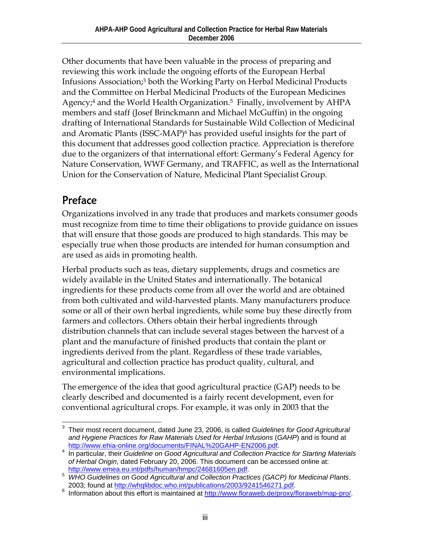Other documents that have been valuable in the process of preparing and reviewing this work include the ongoing efforts of the European Herbal Infusions Association;3 both the Working Party on Herbal Medicinal Products and the Committee on Herbal Medicinal Products of the European Medicines Agency;<sup>4</sup> and the World Health Organization.<sup>5</sup> Finally, involvement by AHPA members and staff (Josef Brinckmann and Michael McGuffin) in the ongoing drafting of International Standards for Sustainable Wild Collection of Medicinal and Aromatic Plants (ISSC-MAP)6 has provided useful insights for the part of this document that addresses good collection practice. Appreciation is therefore due to the organizers of that international effort: Germany's Federal Agency for Nature Conservation, WWF Germany, and TRAFFIC, as well as the International Union for the Conservation of Nature, Medicinal Plant Specialist Group.

#### Preface

Organizations involved in any trade that produces and markets consumer goods must recognize from time to time their obligations to provide guidance on issues that will ensure that those goods are produced to high standards. This may be especially true when those products are intended for human consumption and are used as aids in promoting health.

Herbal products such as teas, dietary supplements, drugs and cosmetics are widely available in the United States and internationally. The botanical ingredients for these products come from all over the world and are obtained from both cultivated and wild-harvested plants. Many manufacturers produce some or all of their own herbal ingredients, while some buy these directly from farmers and collectors. Others obtain their herbal ingredients through distribution channels that can include several stages between the harvest of a plant and the manufacture of finished products that contain the plant or ingredients derived from the plant. Regardless of these trade variables, agricultural and collection practice has product quality, cultural, and environmental implications.

The emergence of the idea that good agricultural practice (GAP) needs to be clearly described and documented is a fairly recent development, even for conventional agricultural crops. For example, it was only in 2003 that the

 $\overline{a}$ 3 Their most recent document, dated June 23, 2006, is called *Guidelines for Good Agricultural and Hygiene Practices for Raw Materials Used for Herbal Infusions* (*GAHP*) and is found at http://www.ehia-online.org/documents/FINAL%20GAHP-EN2006.pdf.

<sup>&</sup>lt;sup>4</sup> In particular, their *Guideline on Good Agricultural and Collection Practice for Starting Materials* of Herbal Origin, dated February 20, 2006. This document can be accessed online at:<br>http://www.emea.eu.int/pdfs/human/hmpc/24681605en.pdf.

<sup>&</sup>lt;sub>5</sub> http://www.emea.eu.int/pdfs/human/hmpc/24681605en.pdf.<br><sup>5</sup> WHO Guidelines on Good Agricultural and Collection Practices (GACP) for Medicinal Plants.

<sup>2003;</sup> found at http://whqlibdoc.who.int/publications/2003/9241546271.pdf. 6 Information about this effort is maintained at http://www.floraweb.de/proxy/floraweb/map-pro/.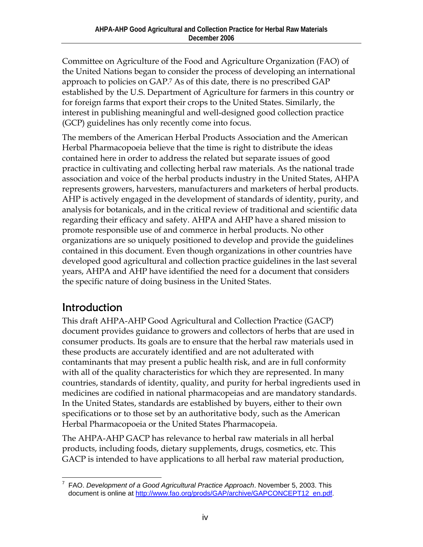Committee on Agriculture of the Food and Agriculture Organization (FAO) of the United Nations began to consider the process of developing an international approach to policies on GAP.7 As of this date, there is no prescribed GAP established by the U.S. Department of Agriculture for farmers in this country or for foreign farms that export their crops to the United States. Similarly, the interest in publishing meaningful and well-designed good collection practice (GCP) guidelines has only recently come into focus.

The members of the American Herbal Products Association and the American Herbal Pharmacopoeia believe that the time is right to distribute the ideas contained here in order to address the related but separate issues of good practice in cultivating and collecting herbal raw materials. As the national trade association and voice of the herbal products industry in the United States, AHPA represents growers, harvesters, manufacturers and marketers of herbal products. AHP is actively engaged in the development of standards of identity, purity, and analysis for botanicals, and in the critical review of traditional and scientific data regarding their efficacy and safety. AHPA and AHP have a shared mission to promote responsible use of and commerce in herbal products. No other organizations are so uniquely positioned to develop and provide the guidelines contained in this document. Even though organizations in other countries have developed good agricultural and collection practice guidelines in the last several years, AHPA and AHP have identified the need for a document that considers the specific nature of doing business in the United States.

#### Introduction

This draft AHPA-AHP Good Agricultural and Collection Practice (GACP) document provides guidance to growers and collectors of herbs that are used in consumer products. Its goals are to ensure that the herbal raw materials used in these products are accurately identified and are not adulterated with contaminants that may present a public health risk, and are in full conformity with all of the quality characteristics for which they are represented. In many countries, standards of identity, quality, and purity for herbal ingredients used in medicines are codified in national pharmacopeias and are mandatory standards. In the United States, standards are established by buyers, either to their own specifications or to those set by an authoritative body, such as the American Herbal Pharmacopoeia or the United States Pharmacopeia.

The AHPA-AHP GACP has relevance to herbal raw materials in all herbal products, including foods, dietary supplements, drugs, cosmetics, etc. This GACP is intended to have applications to all herbal raw material production,

 $\overline{a}$ 7 FAO. *Development of a Good Agricultural Practice Approach*. November 5, 2003. This document is online at http://www.fao.org/prods/GAP/archive/GAPCONCEPT12\_en.pdf.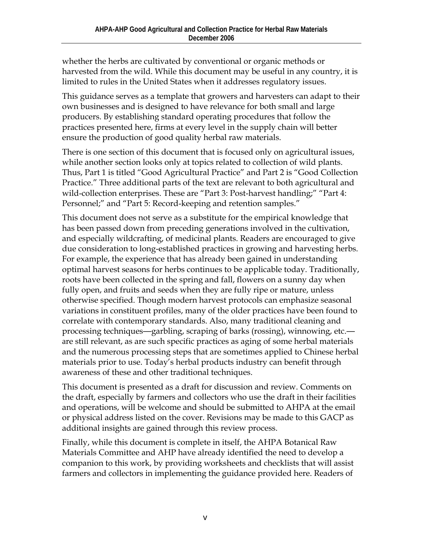whether the herbs are cultivated by conventional or organic methods or harvested from the wild. While this document may be useful in any country, it is limited to rules in the United States when it addresses regulatory issues.

This guidance serves as a template that growers and harvesters can adapt to their own businesses and is designed to have relevance for both small and large producers. By establishing standard operating procedures that follow the practices presented here, firms at every level in the supply chain will better ensure the production of good quality herbal raw materials.

There is one section of this document that is focused only on agricultural issues, while another section looks only at topics related to collection of wild plants. Thus, Part 1 is titled "Good Agricultural Practice" and Part 2 is "Good Collection Practice." Three additional parts of the text are relevant to both agricultural and wild-collection enterprises. These are "Part 3: Post-harvest handling;" "Part 4: Personnel;" and "Part 5: Record-keeping and retention samples."

This document does not serve as a substitute for the empirical knowledge that has been passed down from preceding generations involved in the cultivation, and especially wildcrafting, of medicinal plants. Readers are encouraged to give due consideration to long-established practices in growing and harvesting herbs. For example, the experience that has already been gained in understanding optimal harvest seasons for herbs continues to be applicable today. Traditionally, roots have been collected in the spring and fall, flowers on a sunny day when fully open, and fruits and seeds when they are fully ripe or mature, unless otherwise specified. Though modern harvest protocols can emphasize seasonal variations in constituent profiles, many of the older practices have been found to correlate with contemporary standards. Also, many traditional cleaning and processing techniques—garbling, scraping of barks (rossing), winnowing, etc. are still relevant, as are such specific practices as aging of some herbal materials and the numerous processing steps that are sometimes applied to Chinese herbal materials prior to use. Today's herbal products industry can benefit through awareness of these and other traditional techniques.

This document is presented as a draft for discussion and review. Comments on the draft, especially by farmers and collectors who use the draft in their facilities and operations, will be welcome and should be submitted to AHPA at the email or physical address listed on the cover. Revisions may be made to this GACP as additional insights are gained through this review process.

Finally, while this document is complete in itself, the AHPA Botanical Raw Materials Committee and AHP have already identified the need to develop a companion to this work, by providing worksheets and checklists that will assist farmers and collectors in implementing the guidance provided here. Readers of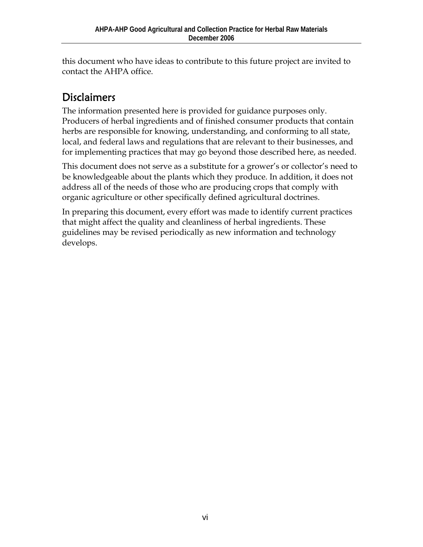this document who have ideas to contribute to this future project are invited to contact the AHPA office.

### **Disclaimers**

The information presented here is provided for guidance purposes only. Producers of herbal ingredients and of finished consumer products that contain herbs are responsible for knowing, understanding, and conforming to all state, local, and federal laws and regulations that are relevant to their businesses, and for implementing practices that may go beyond those described here, as needed.

This document does not serve as a substitute for a grower's or collector's need to be knowledgeable about the plants which they produce. In addition, it does not address all of the needs of those who are producing crops that comply with organic agriculture or other specifically defined agricultural doctrines.

In preparing this document, every effort was made to identify current practices that might affect the quality and cleanliness of herbal ingredients. These guidelines may be revised periodically as new information and technology develops.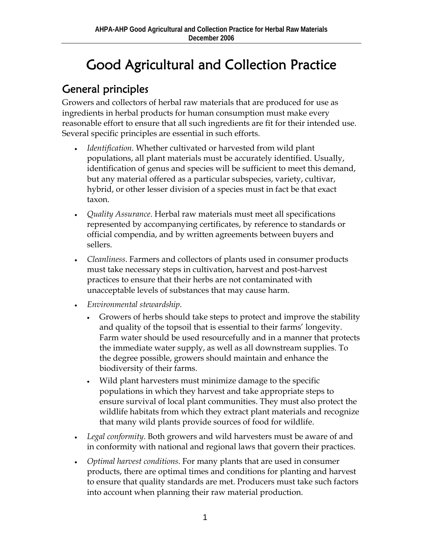# Good Agricultural and Collection Practice

#### General principles

Growers and collectors of herbal raw materials that are produced for use as ingredients in herbal products for human consumption must make every reasonable effort to ensure that all such ingredients are fit for their intended use. Several specific principles are essential in such efforts.

- *Identification*. Whether cultivated or harvested from wild plant populations, all plant materials must be accurately identified. Usually, identification of genus and species will be sufficient to meet this demand, but any material offered as a particular subspecies, variety, cultivar, hybrid, or other lesser division of a species must in fact be that exact taxon.
- *Quality Assurance*. Herbal raw materials must meet all specifications represented by accompanying certificates, by reference to standards or official compendia, and by written agreements between buyers and sellers.
- *Cleanliness*. Farmers and collectors of plants used in consumer products must take necessary steps in cultivation, harvest and post-harvest practices to ensure that their herbs are not contaminated with unacceptable levels of substances that may cause harm.
- *Environmental stewardship*.
	- Growers of herbs should take steps to protect and improve the stability and quality of the topsoil that is essential to their farms' longevity. Farm water should be used resourcefully and in a manner that protects the immediate water supply, as well as all downstream supplies. To the degree possible, growers should maintain and enhance the biodiversity of their farms.
	- Wild plant harvesters must minimize damage to the specific populations in which they harvest and take appropriate steps to ensure survival of local plant communities. They must also protect the wildlife habitats from which they extract plant materials and recognize that many wild plants provide sources of food for wildlife.
- *Legal conformity*. Both growers and wild harvesters must be aware of and in conformity with national and regional laws that govern their practices.
- *Optimal harvest conditions*. For many plants that are used in consumer products, there are optimal times and conditions for planting and harvest to ensure that quality standards are met. Producers must take such factors into account when planning their raw material production.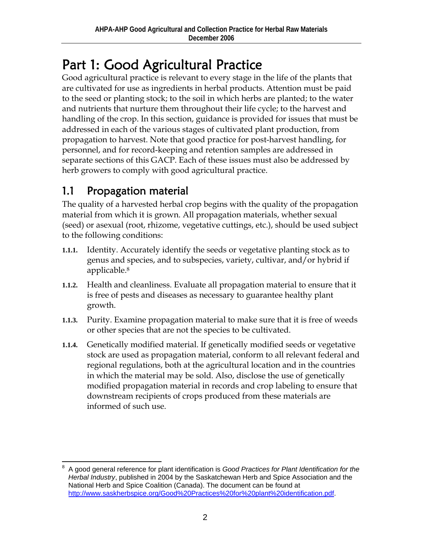# Part 1: Good Agricultural Practice

Good agricultural practice is relevant to every stage in the life of the plants that are cultivated for use as ingredients in herbal products. Attention must be paid to the seed or planting stock; to the soil in which herbs are planted; to the water and nutrients that nurture them throughout their life cycle; to the harvest and handling of the crop. In this section, guidance is provided for issues that must be addressed in each of the various stages of cultivated plant production, from propagation to harvest. Note that good practice for post-harvest handling, for personnel, and for record-keeping and retention samples are addressed in separate sections of this GACP. Each of these issues must also be addressed by herb growers to comply with good agricultural practice.

#### 1.1 Propagation material

The quality of a harvested herbal crop begins with the quality of the propagation material from which it is grown. All propagation materials, whether sexual (seed) or asexual (root, rhizome, vegetative cuttings, etc.), should be used subject to the following conditions:

- **1.1.1.** Identity. Accurately identify the seeds or vegetative planting stock as to genus and species, and to subspecies, variety, cultivar, and/or hybrid if applicable.8
- **1.1.2.** Health and cleanliness. Evaluate all propagation material to ensure that it is free of pests and diseases as necessary to guarantee healthy plant growth.
- **1.1.3.** Purity. Examine propagation material to make sure that it is free of weeds or other species that are not the species to be cultivated.
- **1.1.4.** Genetically modified material. If genetically modified seeds or vegetative stock are used as propagation material, conform to all relevant federal and regional regulations, both at the agricultural location and in the countries in which the material may be sold. Also, disclose the use of genetically modified propagation material in records and crop labeling to ensure that downstream recipients of crops produced from these materials are informed of such use.

 $\overline{a}$ 8 A good general reference for plant identification is *Good Practices for Plant Identification for the Herbal Industry*, published in 2004 by the Saskatchewan Herb and Spice Association and the National Herb and Spice Coalition (Canada). The document can be found at http://www.saskherbspice.org/Good%20Practices%20for%20plant%20identification.pdf.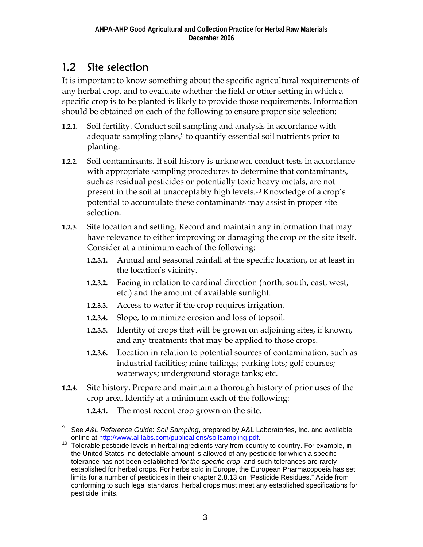#### 1.2 Site selection

It is important to know something about the specific agricultural requirements of any herbal crop, and to evaluate whether the field or other setting in which a specific crop is to be planted is likely to provide those requirements. Information should be obtained on each of the following to ensure proper site selection:

- **1.2.1.** Soil fertility. Conduct soil sampling and analysis in accordance with adequate sampling plans,<sup>9</sup> to quantify essential soil nutrients prior to planting.
- **1.2.2.** Soil contaminants. If soil history is unknown, conduct tests in accordance with appropriate sampling procedures to determine that contaminants, such as residual pesticides or potentially toxic heavy metals, are not present in the soil at unacceptably high levels.10 Knowledge of a crop's potential to accumulate these contaminants may assist in proper site selection.
- **1.2.3.** Site location and setting. Record and maintain any information that may have relevance to either improving or damaging the crop or the site itself. Consider at a minimum each of the following:
	- **1.2.3.1.** Annual and seasonal rainfall at the specific location, or at least in the location's vicinity.
	- **1.2.3.2.** Facing in relation to cardinal direction (north, south, east, west, etc.) and the amount of available sunlight.
	- **1.2.3.3.** Access to water if the crop requires irrigation.
	- **1.2.3.4.** Slope, to minimize erosion and loss of topsoil.
	- **1.2.3.5.** Identity of crops that will be grown on adjoining sites, if known, and any treatments that may be applied to those crops.
	- **1.2.3.6.** Location in relation to potential sources of contamination, such as industrial facilities; mine tailings; parking lots; golf courses; waterways; underground storage tanks; etc.
- **1.2.4.** Site history. Prepare and maintain a thorough history of prior uses of the crop area. Identify at a minimum each of the following:

**1.2.4.1.** The most recent crop grown on the site.

 $\overline{a}$ 9 See *A&L Reference Guide*: *Soil Sampling*, prepared by A&L Laboratories, Inc. and available online at http://www.al-labs.com/publications/soilsampling.pdf.<br>Tolerable pesticide levels in herbal ingredients vary from country to country. For example, in

the United States, no detectable amount is allowed of any pesticide for which a specific tolerance has not been established *for the specific crop*, and such tolerances are rarely established for herbal crops. For herbs sold in Europe, the European Pharmacopoeia has set limits for a number of pesticides in their chapter 2.8.13 on "Pesticide Residues." Aside from conforming to such legal standards, herbal crops must meet any established specifications for pesticide limits.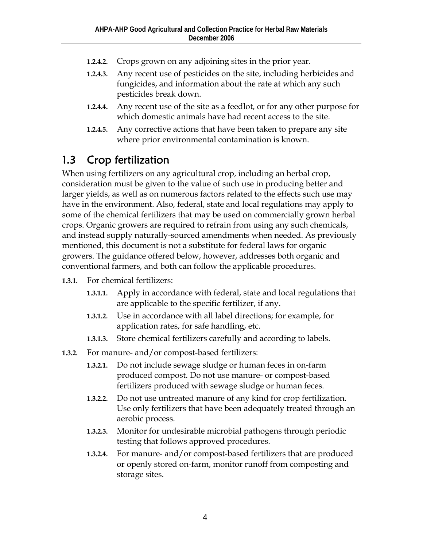- **1.2.4.2.** Crops grown on any adjoining sites in the prior year.
- **1.2.4.3.** Any recent use of pesticides on the site, including herbicides and fungicides, and information about the rate at which any such pesticides break down.
- **1.2.4.4.** Any recent use of the site as a feedlot, or for any other purpose for which domestic animals have had recent access to the site.
- **1.2.4.5.** Any corrective actions that have been taken to prepare any site where prior environmental contamination is known.

#### 1.3 Crop fertilization

When using fertilizers on any agricultural crop, including an herbal crop, consideration must be given to the value of such use in producing better and larger yields, as well as on numerous factors related to the effects such use may have in the environment. Also, federal, state and local regulations may apply to some of the chemical fertilizers that may be used on commercially grown herbal crops. Organic growers are required to refrain from using any such chemicals, and instead supply naturally-sourced amendments when needed. As previously mentioned, this document is not a substitute for federal laws for organic growers. The guidance offered below, however, addresses both organic and conventional farmers, and both can follow the applicable procedures.

- **1.3.1.** For chemical fertilizers:
	- **1.3.1.1.** Apply in accordance with federal, state and local regulations that are applicable to the specific fertilizer, if any.
	- **1.3.1.2.** Use in accordance with all label directions; for example, for application rates, for safe handling, etc.
	- **1.3.1.3.** Store chemical fertilizers carefully and according to labels.
- **1.3.2.** For manure- and/or compost-based fertilizers:
	- **1.3.2.1.** Do not include sewage sludge or human feces in on-farm produced compost. Do not use manure- or compost-based fertilizers produced with sewage sludge or human feces.
	- **1.3.2.2.** Do not use untreated manure of any kind for crop fertilization. Use only fertilizers that have been adequately treated through an aerobic process.
	- **1.3.2.3.** Monitor for undesirable microbial pathogens through periodic testing that follows approved procedures.
	- **1.3.2.4.** For manure- and/or compost-based fertilizers that are produced or openly stored on-farm, monitor runoff from composting and storage sites.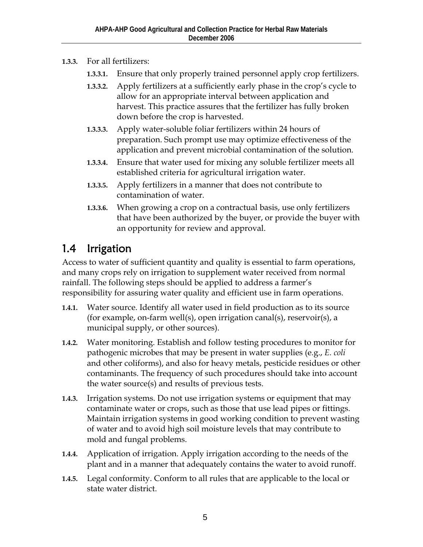- **1.3.3.** For all fertilizers:
	- **1.3.3.1.** Ensure that only properly trained personnel apply crop fertilizers.
	- **1.3.3.2.** Apply fertilizers at a sufficiently early phase in the crop's cycle to allow for an appropriate interval between application and harvest. This practice assures that the fertilizer has fully broken down before the crop is harvested.
	- **1.3.3.3.** Apply water-soluble foliar fertilizers within 24 hours of preparation. Such prompt use may optimize effectiveness of the application and prevent microbial contamination of the solution.
	- **1.3.3.4.** Ensure that water used for mixing any soluble fertilizer meets all established criteria for agricultural irrigation water.
	- **1.3.3.5.** Apply fertilizers in a manner that does not contribute to contamination of water.
	- **1.3.3.6.** When growing a crop on a contractual basis, use only fertilizers that have been authorized by the buyer, or provide the buyer with an opportunity for review and approval.

### 1.4 Irrigation

Access to water of sufficient quantity and quality is essential to farm operations, and many crops rely on irrigation to supplement water received from normal rainfall. The following steps should be applied to address a farmer's responsibility for assuring water quality and efficient use in farm operations.

- **1.4.1.** Water source. Identify all water used in field production as to its source (for example, on-farm well(s), open irrigation canal(s), reservoir(s), a municipal supply, or other sources).
- **1.4.2.** Water monitoring. Establish and follow testing procedures to monitor for pathogenic microbes that may be present in water supplies (e.g., *E. coli*  and other coliforms), and also for heavy metals, pesticide residues or other contaminants. The frequency of such procedures should take into account the water source(s) and results of previous tests.
- **1.4.3.** Irrigation systems. Do not use irrigation systems or equipment that may contaminate water or crops, such as those that use lead pipes or fittings. Maintain irrigation systems in good working condition to prevent wasting of water and to avoid high soil moisture levels that may contribute to mold and fungal problems.
- **1.4.4.** Application of irrigation. Apply irrigation according to the needs of the plant and in a manner that adequately contains the water to avoid runoff.
- **1.4.5.** Legal conformity. Conform to all rules that are applicable to the local or state water district.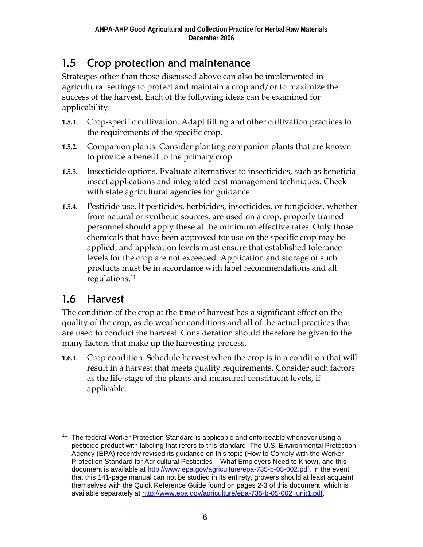#### 1.5 Crop protection and maintenance

Strategies other than those discussed above can also be implemented in agricultural settings to protect and maintain a crop and/or to maximize the success of the harvest. Each of the following ideas can be examined for applicability.

- **1.5.1.** Crop-specific cultivation. Adapt tilling and other cultivation practices to the requirements of the specific crop.
- **1.5.2.** Companion plants. Consider planting companion plants that are known to provide a benefit to the primary crop.
- **1.5.3.** Insecticide options. Evaluate alternatives to insecticides, such as beneficial insect applications and integrated pest management techniques. Check with state agricultural agencies for guidance.
- **1.5.4.** Pesticide use. If pesticides, herbicides, insecticides, or fungicides, whether from natural or synthetic sources, are used on a crop, properly trained personnel should apply these at the minimum effective rates. Only those chemicals that have been approved for use on the specific crop may be applied, and application levels must ensure that established tolerance levels for the crop are not exceeded. Application and storage of such products must be in accordance with label recommendations and all regulations.11

#### 1.6 Harvest

The condition of the crop at the time of harvest has a significant effect on the quality of the crop, as do weather conditions and all of the actual practices that are used to conduct the harvest. Consideration should therefore be given to the many factors that make up the harvesting process.

**1.6.1.** Crop condition. Schedule harvest when the crop is in a condition that will result in a harvest that meets quality requirements. Consider such factors as the life-stage of the plants and measured constituent levels, if applicable.

 $\overline{a}$ The federal Worker Protection Standard is applicable and enforceable whenever using a pesticide product with labeling that refers to this standard. The U.S. Environmental Protection Agency (EPA) recently revised its guidance on this topic (How to Comply with the Worker Protection Standard for Agricultural Pesticides – What Employers Need to Know), and this document is available at http://www.epa.gov/agriculture/epa-735-b-05-002.pdf. In the event that this 141-page manual can not be studied in its entirety, growers should at least acquaint themselves with the Quick Reference Guide found on pages 2-3 of this document, which is available separately at http://www.epa.gov/agriculture/epa-735-b-05-002\_unit1.pdf.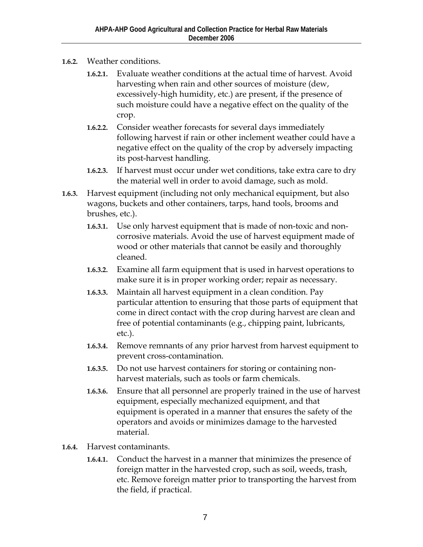- **1.6.2.** Weather conditions.
	- **1.6.2.1.** Evaluate weather conditions at the actual time of harvest. Avoid harvesting when rain and other sources of moisture (dew, excessively-high humidity, etc.) are present, if the presence of such moisture could have a negative effect on the quality of the crop.
	- **1.6.2.2.** Consider weather forecasts for several days immediately following harvest if rain or other inclement weather could have a negative effect on the quality of the crop by adversely impacting its post-harvest handling.
	- **1.6.2.3.** If harvest must occur under wet conditions, take extra care to dry the material well in order to avoid damage, such as mold.
- **1.6.3.** Harvest equipment (including not only mechanical equipment, but also wagons, buckets and other containers, tarps, hand tools, brooms and brushes, etc.).
	- **1.6.3.1.** Use only harvest equipment that is made of non-toxic and noncorrosive materials. Avoid the use of harvest equipment made of wood or other materials that cannot be easily and thoroughly cleaned.
	- **1.6.3.2.** Examine all farm equipment that is used in harvest operations to make sure it is in proper working order; repair as necessary.
	- **1.6.3.3.** Maintain all harvest equipment in a clean condition. Pay particular attention to ensuring that those parts of equipment that come in direct contact with the crop during harvest are clean and free of potential contaminants (e.g., chipping paint, lubricants, etc.).
	- **1.6.3.4.** Remove remnants of any prior harvest from harvest equipment to prevent cross-contamination.
	- **1.6.3.5.** Do not use harvest containers for storing or containing nonharvest materials, such as tools or farm chemicals.
	- **1.6.3.6.** Ensure that all personnel are properly trained in the use of harvest equipment, especially mechanized equipment, and that equipment is operated in a manner that ensures the safety of the operators and avoids or minimizes damage to the harvested material.
- **1.6.4.** Harvest contaminants.
	- **1.6.4.1.** Conduct the harvest in a manner that minimizes the presence of foreign matter in the harvested crop, such as soil, weeds, trash, etc. Remove foreign matter prior to transporting the harvest from the field, if practical.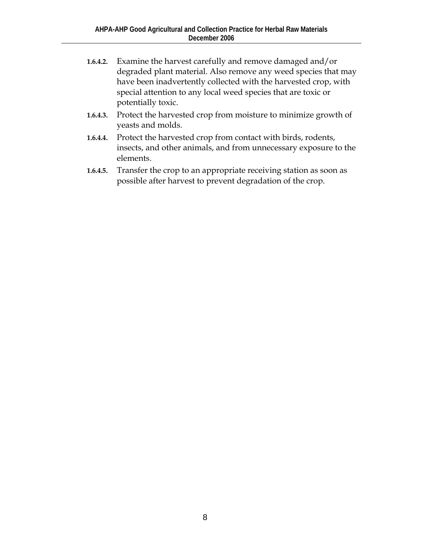- **1.6.4.2.** Examine the harvest carefully and remove damaged and/or degraded plant material. Also remove any weed species that may have been inadvertently collected with the harvested crop, with special attention to any local weed species that are toxic or potentially toxic.
- **1.6.4.3.** Protect the harvested crop from moisture to minimize growth of yeasts and molds.
- **1.6.4.4.** Protect the harvested crop from contact with birds, rodents, insects, and other animals, and from unnecessary exposure to the elements.
- **1.6.4.5.** Transfer the crop to an appropriate receiving station as soon as possible after harvest to prevent degradation of the crop.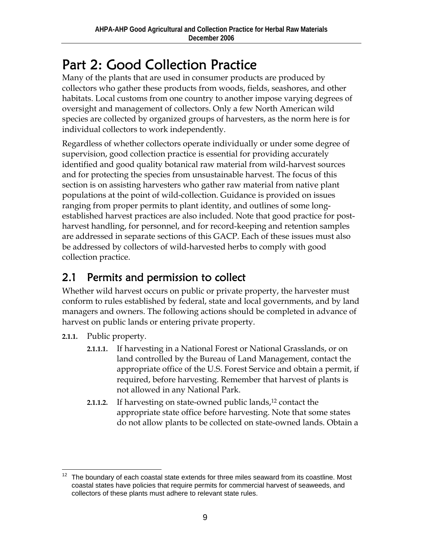# Part 2: Good Collection Practice

Many of the plants that are used in consumer products are produced by collectors who gather these products from woods, fields, seashores, and other habitats. Local customs from one country to another impose varying degrees of oversight and management of collectors. Only a few North American wild species are collected by organized groups of harvesters, as the norm here is for individual collectors to work independently.

Regardless of whether collectors operate individually or under some degree of supervision, good collection practice is essential for providing accurately identified and good quality botanical raw material from wild-harvest sources and for protecting the species from unsustainable harvest. The focus of this section is on assisting harvesters who gather raw material from native plant populations at the point of wild-collection. Guidance is provided on issues ranging from proper permits to plant identity, and outlines of some longestablished harvest practices are also included. Note that good practice for postharvest handling, for personnel, and for record-keeping and retention samples are addressed in separate sections of this GACP. Each of these issues must also be addressed by collectors of wild-harvested herbs to comply with good collection practice.

### 2.1 Permits and permission to collect

Whether wild harvest occurs on public or private property, the harvester must conform to rules established by federal, state and local governments, and by land managers and owners. The following actions should be completed in advance of harvest on public lands or entering private property.

- **2.1.1.** Public property.
	- **2.1.1.1.** If harvesting in a National Forest or National Grasslands, or on land controlled by the Bureau of Land Management, contact the appropriate office of the U.S. Forest Service and obtain a permit, if required, before harvesting. Remember that harvest of plants is not allowed in any National Park.
	- **2.1.1.2.** If harvesting on state-owned public lands,<sup>12</sup> contact the appropriate state office before harvesting. Note that some states do not allow plants to be collected on state-owned lands. Obtain a

 $\overline{a}$  $12$  The boundary of each coastal state extends for three miles seaward from its coastline. Most coastal states have policies that require permits for commercial harvest of seaweeds, and collectors of these plants must adhere to relevant state rules.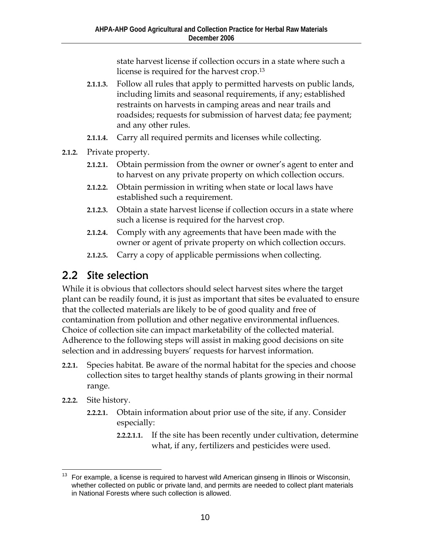state harvest license if collection occurs in a state where such a license is required for the harvest crop.13

- **2.1.1.3.** Follow all rules that apply to permitted harvests on public lands, including limits and seasonal requirements, if any; established restraints on harvests in camping areas and near trails and roadsides; requests for submission of harvest data; fee payment; and any other rules.
- **2.1.1.4.** Carry all required permits and licenses while collecting.
- **2.1.2.** Private property.
	- **2.1.2.1.** Obtain permission from the owner or owner's agent to enter and to harvest on any private property on which collection occurs.
	- **2.1.2.2.** Obtain permission in writing when state or local laws have established such a requirement.
	- **2.1.2.3.** Obtain a state harvest license if collection occurs in a state where such a license is required for the harvest crop.
	- **2.1.2.4.** Comply with any agreements that have been made with the owner or agent of private property on which collection occurs.
	- **2.1.2.5.** Carry a copy of applicable permissions when collecting.

#### 2.2 Site selection

While it is obvious that collectors should select harvest sites where the target plant can be readily found, it is just as important that sites be evaluated to ensure that the collected materials are likely to be of good quality and free of contamination from pollution and other negative environmental influences. Choice of collection site can impact marketability of the collected material. Adherence to the following steps will assist in making good decisions on site selection and in addressing buyers' requests for harvest information.

- **2.2.1.** Species habitat. Be aware of the normal habitat for the species and choose collection sites to target healthy stands of plants growing in their normal range.
- **2.2.2.** Site history.
	- **2.2.2.1.** Obtain information about prior use of the site, if any. Consider especially:
		- **2.2.2.1.1.** If the site has been recently under cultivation, determine what, if any, fertilizers and pesticides were used.

 $\overline{a}$  $13$  For example, a license is required to harvest wild American ginseng in Illinois or Wisconsin, whether collected on public or private land, and permits are needed to collect plant materials in National Forests where such collection is allowed.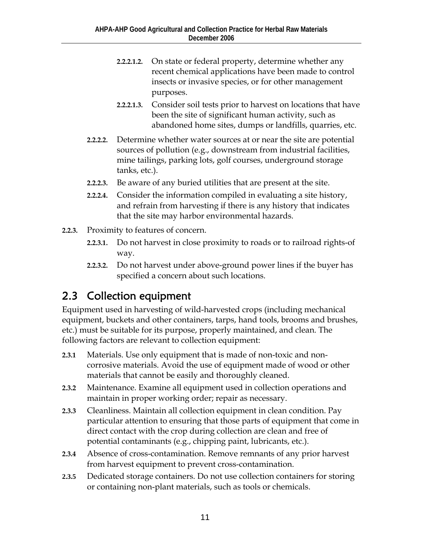- **2.2.2.1.2.** On state or federal property, determine whether any recent chemical applications have been made to control insects or invasive species, or for other management purposes.
- **2.2.2.1.3.** Consider soil tests prior to harvest on locations that have been the site of significant human activity, such as abandoned home sites, dumps or landfills, quarries, etc.
- **2.2.2.2.** Determine whether water sources at or near the site are potential sources of pollution (e.g., downstream from industrial facilities, mine tailings, parking lots, golf courses, underground storage tanks, etc.).
- **2.2.2.3.** Be aware of any buried utilities that are present at the site.
- **2.2.2.4.** Consider the information compiled in evaluating a site history, and refrain from harvesting if there is any history that indicates that the site may harbor environmental hazards.
- **2.2.3.** Proximity to features of concern.
	- **2.2.3.1.** Do not harvest in close proximity to roads or to railroad rights-of way.
	- **2.2.3.2.** Do not harvest under above-ground power lines if the buyer has specified a concern about such locations.

#### 2.3 Collection equipment

Equipment used in harvesting of wild-harvested crops (including mechanical equipment, buckets and other containers, tarps, hand tools, brooms and brushes, etc.) must be suitable for its purpose, properly maintained, and clean. The following factors are relevant to collection equipment:

- **2.3.1** Materials. Use only equipment that is made of non-toxic and noncorrosive materials. Avoid the use of equipment made of wood or other materials that cannot be easily and thoroughly cleaned.
- **2.3.2** Maintenance. Examine all equipment used in collection operations and maintain in proper working order; repair as necessary.
- **2.3.3** Cleanliness. Maintain all collection equipment in clean condition. Pay particular attention to ensuring that those parts of equipment that come in direct contact with the crop during collection are clean and free of potential contaminants (e.g., chipping paint, lubricants, etc.).
- **2.3.4** Absence of cross-contamination. Remove remnants of any prior harvest from harvest equipment to prevent cross-contamination.
- **2.3.5** Dedicated storage containers. Do not use collection containers for storing or containing non-plant materials, such as tools or chemicals.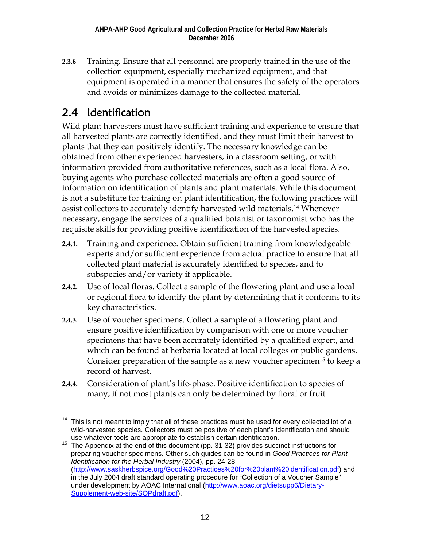**2.3.6** Training. Ensure that all personnel are properly trained in the use of the collection equipment, especially mechanized equipment, and that equipment is operated in a manner that ensures the safety of the operators and avoids or minimizes damage to the collected material.

#### 2.4 Identification

Wild plant harvesters must have sufficient training and experience to ensure that all harvested plants are correctly identified, and they must limit their harvest to plants that they can positively identify. The necessary knowledge can be obtained from other experienced harvesters, in a classroom setting, or with information provided from authoritative references, such as a local flora. Also, buying agents who purchase collected materials are often a good source of information on identification of plants and plant materials. While this document is not a substitute for training on plant identification, the following practices will assist collectors to accurately identify harvested wild materials.14 Whenever necessary, engage the services of a qualified botanist or taxonomist who has the requisite skills for providing positive identification of the harvested species.

- **2.4.1.** Training and experience. Obtain sufficient training from knowledgeable experts and/or sufficient experience from actual practice to ensure that all collected plant material is accurately identified to species, and to subspecies and/or variety if applicable.
- **2.4.2.** Use of local floras. Collect a sample of the flowering plant and use a local or regional flora to identify the plant by determining that it conforms to its key characteristics.
- **2.4.3.** Use of voucher specimens. Collect a sample of a flowering plant and ensure positive identification by comparison with one or more voucher specimens that have been accurately identified by a qualified expert, and which can be found at herbaria located at local colleges or public gardens. Consider preparation of the sample as a new voucher specimen<sup>15</sup> to keep a record of harvest.
- **2.4.4.** Consideration of plant's life-phase. Positive identification to species of many, if not most plants can only be determined by floral or fruit

 $\overline{a}$ This is not meant to imply that all of these practices must be used for every collected lot of a wild-harvested species. Collectors must be positive of each plant's identification and should use whatever tools are appropriate to establish certain identification.

<sup>15</sup> The Appendix at the end of this document (pp. 31-32) provides succinct instructions for preparing voucher specimens. Other such guides can be found in *Good Practices for Plant Identification for the Herbal Industry* (2004), pp. 24-28 (http://www.saskherbspice.org/Good%20Practices%20for%20plant%20identification.pdf) and in the July 2004 draft standard operating procedure for "Collection of a Voucher Sample" under development by AOAC International (http://www.aoac.org/dietsupp6/Dietary-Supplement-web-site/SOPdraft.pdf).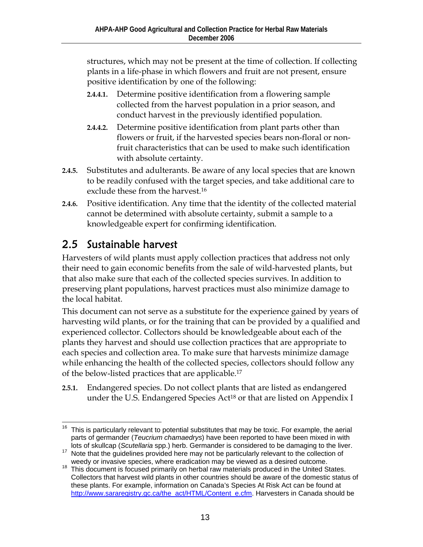structures, which may not be present at the time of collection. If collecting plants in a life-phase in which flowers and fruit are not present, ensure positive identification by one of the following:

- **2.4.4.1.** Determine positive identification from a flowering sample collected from the harvest population in a prior season, and conduct harvest in the previously identified population.
- **2.4.4.2.** Determine positive identification from plant parts other than flowers or fruit, if the harvested species bears non-floral or nonfruit characteristics that can be used to make such identification with absolute certainty.
- **2.4.5.** Substitutes and adulterants. Be aware of any local species that are known to be readily confused with the target species, and take additional care to exclude these from the harvest.16
- **2.4.6.** Positive identification. Any time that the identity of the collected material cannot be determined with absolute certainty, submit a sample to a knowledgeable expert for confirming identification.

#### 2.5 Sustainable harvest

Harvesters of wild plants must apply collection practices that address not only their need to gain economic benefits from the sale of wild-harvested plants, but that also make sure that each of the collected species survives. In addition to preserving plant populations, harvest practices must also minimize damage to the local habitat.

This document can not serve as a substitute for the experience gained by years of harvesting wild plants, or for the training that can be provided by a qualified and experienced collector. Collectors should be knowledgeable about each of the plants they harvest and should use collection practices that are appropriate to each species and collection area. To make sure that harvests minimize damage while enhancing the health of the collected species, collectors should follow any of the below-listed practices that are applicable.17

**2.5.1.** Endangered species. Do not collect plants that are listed as endangered under the U.S. Endangered Species Act<sup>18</sup> or that are listed on Appendix I

 $\overline{a}$  $16$  This is particularly relevant to potential substitutes that may be toxic. For example, the aerial parts of germander (*Teucrium chamaedrys*) have been reported to have been mixed in with

<sup>&</sup>lt;sup>17</sup> Note that the quidelines provided here may not be particularly relevant to the collection of

weedy or invasive species, where eradication may be viewed as a desired outcome.<br><sup>18</sup> This document is focused primarily on herbal raw materials produced in the United States. Collectors that harvest wild plants in other countries should be aware of the domestic status of these plants. For example, information on Canada's Species At Risk Act can be found at http://www.sararegistry.gc.ca/the\_act/HTML/Content\_e.cfm. Harvesters in Canada should be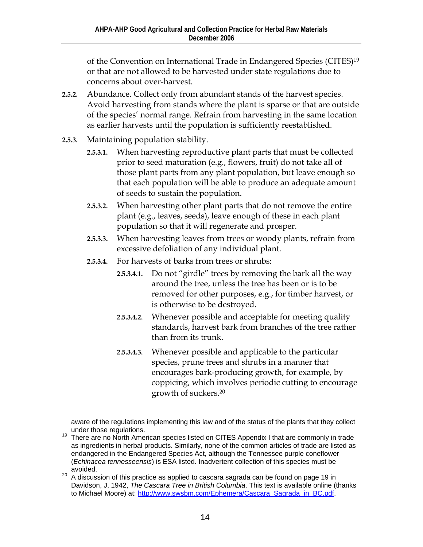of the Convention on International Trade in Endangered Species (CITES)19 or that are not allowed to be harvested under state regulations due to concerns about over-harvest.

- **2.5.2.** Abundance. Collect only from abundant stands of the harvest species. Avoid harvesting from stands where the plant is sparse or that are outside of the species' normal range. Refrain from harvesting in the same location as earlier harvests until the population is sufficiently reestablished.
- **2.5.3.** Maintaining population stability.
	- **2.5.3.1.** When harvesting reproductive plant parts that must be collected prior to seed maturation (e.g., flowers, fruit) do not take all of those plant parts from any plant population, but leave enough so that each population will be able to produce an adequate amount of seeds to sustain the population.
	- **2.5.3.2.** When harvesting other plant parts that do not remove the entire plant (e.g., leaves, seeds), leave enough of these in each plant population so that it will regenerate and prosper.
	- **2.5.3.3.** When harvesting leaves from trees or woody plants, refrain from excessive defoliation of any individual plant.
	- **2.5.3.4.** For harvests of barks from trees or shrubs:
		- **2.5.3.4.1.** Do not "girdle" trees by removing the bark all the way around the tree, unless the tree has been or is to be removed for other purposes, e.g., for timber harvest, or is otherwise to be destroyed.
		- **2.5.3.4.2.** Whenever possible and acceptable for meeting quality standards, harvest bark from branches of the tree rather than from its trunk.
		- **2.5.3.4.3.** Whenever possible and applicable to the particular species, prune trees and shrubs in a manner that encourages bark-producing growth, for example, by coppicing, which involves periodic cutting to encourage growth of suckers.20

aware of the regulations implementing this law and of the status of the plants that they collect

under those regulations.<br><sup>19</sup> There are no North American species listed on CITES Appendix I that are commonly in trade as ingredients in herbal products. Similarly, none of the common articles of trade are listed as endangered in the Endangered Species Act, although the Tennessee purple coneflower (*Echinacea tennesseensis*) is ESA listed. Inadvertent collection of this species must be avoided.

 $20$  A discussion of this practice as applied to cascara sagrada can be found on page 19 in Davidson, J, 1942, *The Cascara Tree in British Columbia*. This text is available online (thanks to Michael Moore) at: http://www.swsbm.com/Ephemera/Cascara\_Sagrada\_in\_BC.pdf.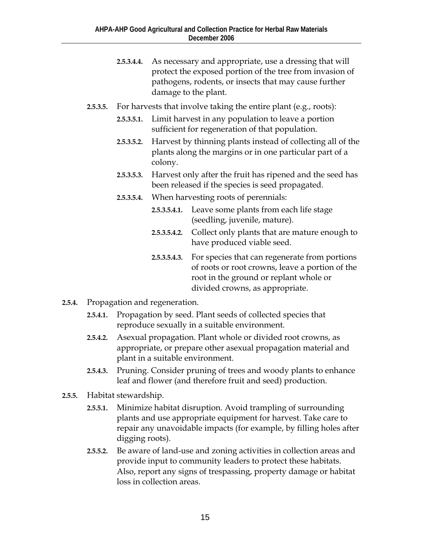- **2.5.3.4.4.** As necessary and appropriate, use a dressing that will protect the exposed portion of the tree from invasion of pathogens, rodents, or insects that may cause further damage to the plant.
- **2.5.3.5.** For harvests that involve taking the entire plant (e.g., roots):
	- **2.5.3.5.1.** Limit harvest in any population to leave a portion sufficient for regeneration of that population.
	- **2.5.3.5.2.** Harvest by thinning plants instead of collecting all of the plants along the margins or in one particular part of a colony.
	- **2.5.3.5.3.** Harvest only after the fruit has ripened and the seed has been released if the species is seed propagated.
	- **2.5.3.5.4.** When harvesting roots of perennials:
		- **2.5.3.5.4.1.** Leave some plants from each life stage (seedling, juvenile, mature).
		- **2.5.3.5.4.2.** Collect only plants that are mature enough to have produced viable seed.
		- **2.5.3.5.4.3.** For species that can regenerate from portions of roots or root crowns, leave a portion of the root in the ground or replant whole or divided crowns, as appropriate.
- **2.5.4.** Propagation and regeneration.
	- **2.5.4.1.** Propagation by seed. Plant seeds of collected species that reproduce sexually in a suitable environment.
	- **2.5.4.2.** Asexual propagation. Plant whole or divided root crowns, as appropriate, or prepare other asexual propagation material and plant in a suitable environment.
	- **2.5.4.3.** Pruning. Consider pruning of trees and woody plants to enhance leaf and flower (and therefore fruit and seed) production.
- **2.5.5.** Habitat stewardship.
	- **2.5.5.1.** Minimize habitat disruption. Avoid trampling of surrounding plants and use appropriate equipment for harvest. Take care to repair any unavoidable impacts (for example, by filling holes after digging roots).
	- **2.5.5.2.** Be aware of land-use and zoning activities in collection areas and provide input to community leaders to protect these habitats. Also, report any signs of trespassing, property damage or habitat loss in collection areas.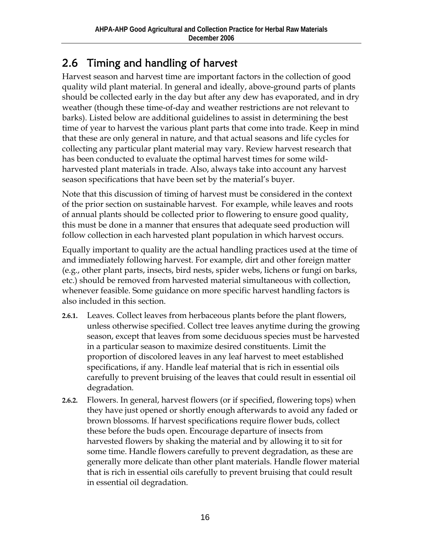#### 2.6 Timing and handling of harvest

Harvest season and harvest time are important factors in the collection of good quality wild plant material. In general and ideally, above-ground parts of plants should be collected early in the day but after any dew has evaporated, and in dry weather (though these time-of-day and weather restrictions are not relevant to barks). Listed below are additional guidelines to assist in determining the best time of year to harvest the various plant parts that come into trade. Keep in mind that these are only general in nature, and that actual seasons and life cycles for collecting any particular plant material may vary. Review harvest research that has been conducted to evaluate the optimal harvest times for some wildharvested plant materials in trade. Also, always take into account any harvest season specifications that have been set by the material's buyer.

Note that this discussion of timing of harvest must be considered in the context of the prior section on sustainable harvest. For example, while leaves and roots of annual plants should be collected prior to flowering to ensure good quality, this must be done in a manner that ensures that adequate seed production will follow collection in each harvested plant population in which harvest occurs.

Equally important to quality are the actual handling practices used at the time of and immediately following harvest. For example, dirt and other foreign matter (e.g., other plant parts, insects, bird nests, spider webs, lichens or fungi on barks, etc.) should be removed from harvested material simultaneous with collection, whenever feasible. Some guidance on more specific harvest handling factors is also included in this section.

- **2.6.1.** Leaves. Collect leaves from herbaceous plants before the plant flowers, unless otherwise specified. Collect tree leaves anytime during the growing season, except that leaves from some deciduous species must be harvested in a particular season to maximize desired constituents. Limit the proportion of discolored leaves in any leaf harvest to meet established specifications, if any. Handle leaf material that is rich in essential oils carefully to prevent bruising of the leaves that could result in essential oil degradation.
- **2.6.2.** Flowers. In general, harvest flowers (or if specified, flowering tops) when they have just opened or shortly enough afterwards to avoid any faded or brown blossoms. If harvest specifications require flower buds, collect these before the buds open. Encourage departure of insects from harvested flowers by shaking the material and by allowing it to sit for some time. Handle flowers carefully to prevent degradation, as these are generally more delicate than other plant materials. Handle flower material that is rich in essential oils carefully to prevent bruising that could result in essential oil degradation.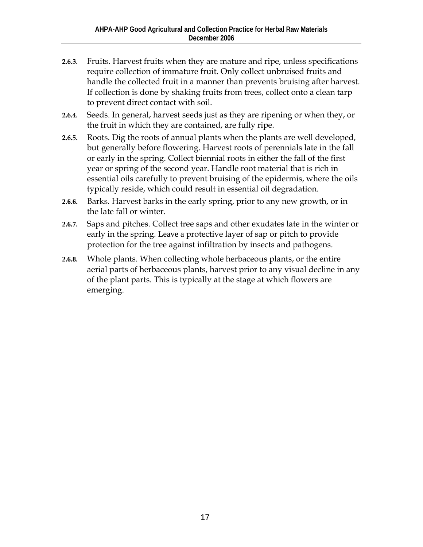- **2.6.3.** Fruits. Harvest fruits when they are mature and ripe, unless specifications require collection of immature fruit. Only collect unbruised fruits and handle the collected fruit in a manner than prevents bruising after harvest. If collection is done by shaking fruits from trees, collect onto a clean tarp to prevent direct contact with soil.
- **2.6.4.** Seeds. In general, harvest seeds just as they are ripening or when they, or the fruit in which they are contained, are fully ripe.
- **2.6.5.** Roots. Dig the roots of annual plants when the plants are well developed, but generally before flowering. Harvest roots of perennials late in the fall or early in the spring. Collect biennial roots in either the fall of the first year or spring of the second year. Handle root material that is rich in essential oils carefully to prevent bruising of the epidermis, where the oils typically reside, which could result in essential oil degradation.
- **2.6.6.** Barks. Harvest barks in the early spring, prior to any new growth, or in the late fall or winter.
- **2.6.7.** Saps and pitches. Collect tree saps and other exudates late in the winter or early in the spring. Leave a protective layer of sap or pitch to provide protection for the tree against infiltration by insects and pathogens.
- **2.6.8.** Whole plants. When collecting whole herbaceous plants, or the entire aerial parts of herbaceous plants, harvest prior to any visual decline in any of the plant parts. This is typically at the stage at which flowers are emerging.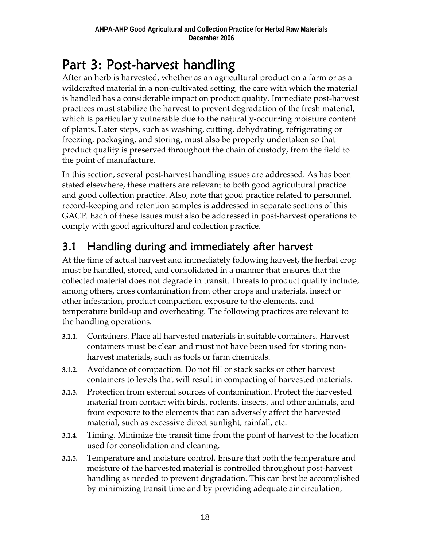## Part 3: Post-harvest handling

After an herb is harvested, whether as an agricultural product on a farm or as a wildcrafted material in a non-cultivated setting, the care with which the material is handled has a considerable impact on product quality. Immediate post-harvest practices must stabilize the harvest to prevent degradation of the fresh material, which is particularly vulnerable due to the naturally-occurring moisture content of plants. Later steps, such as washing, cutting, dehydrating, refrigerating or freezing, packaging, and storing, must also be properly undertaken so that product quality is preserved throughout the chain of custody, from the field to the point of manufacture.

In this section, several post-harvest handling issues are addressed. As has been stated elsewhere, these matters are relevant to both good agricultural practice and good collection practice. Also, note that good practice related to personnel, record-keeping and retention samples is addressed in separate sections of this GACP. Each of these issues must also be addressed in post-harvest operations to comply with good agricultural and collection practice.

#### 3.1 Handling during and immediately after harvest

At the time of actual harvest and immediately following harvest, the herbal crop must be handled, stored, and consolidated in a manner that ensures that the collected material does not degrade in transit. Threats to product quality include, among others, cross contamination from other crops and materials, insect or other infestation, product compaction, exposure to the elements, and temperature build-up and overheating. The following practices are relevant to the handling operations.

- **3.1.1.** Containers. Place all harvested materials in suitable containers. Harvest containers must be clean and must not have been used for storing nonharvest materials, such as tools or farm chemicals.
- **3.1.2.** Avoidance of compaction. Do not fill or stack sacks or other harvest containers to levels that will result in compacting of harvested materials.
- **3.1.3.** Protection from external sources of contamination. Protect the harvested material from contact with birds, rodents, insects, and other animals, and from exposure to the elements that can adversely affect the harvested material, such as excessive direct sunlight, rainfall, etc.
- **3.1.4.** Timing. Minimize the transit time from the point of harvest to the location used for consolidation and cleaning.
- **3.1.5.** Temperature and moisture control. Ensure that both the temperature and moisture of the harvested material is controlled throughout post-harvest handling as needed to prevent degradation. This can best be accomplished by minimizing transit time and by providing adequate air circulation,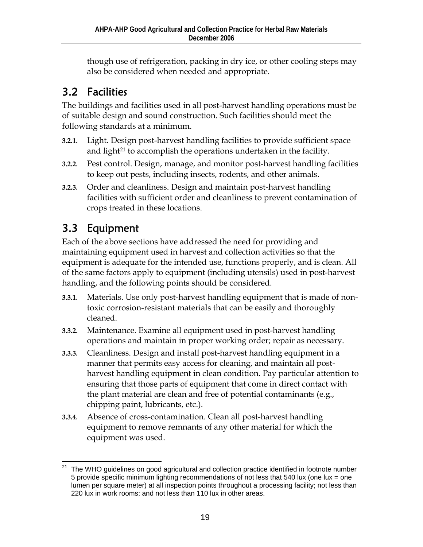though use of refrigeration, packing in dry ice, or other cooling steps may also be considered when needed and appropriate.

#### 3.2 Facilities

The buildings and facilities used in all post-harvest handling operations must be of suitable design and sound construction. Such facilities should meet the following standards at a minimum.

- **3.2.1.** Light. Design post-harvest handling facilities to provide sufficient space and light<sup>21</sup> to accomplish the operations undertaken in the facility.
- **3.2.2.** Pest control. Design, manage, and monitor post-harvest handling facilities to keep out pests, including insects, rodents, and other animals.
- **3.2.3.** Order and cleanliness. Design and maintain post-harvest handling facilities with sufficient order and cleanliness to prevent contamination of crops treated in these locations.

#### 3.3 Equipment

Each of the above sections have addressed the need for providing and maintaining equipment used in harvest and collection activities so that the equipment is adequate for the intended use, functions properly, and is clean. All of the same factors apply to equipment (including utensils) used in post-harvest handling, and the following points should be considered.

- **3.3.1.** Materials. Use only post-harvest handling equipment that is made of nontoxic corrosion-resistant materials that can be easily and thoroughly cleaned.
- **3.3.2.** Maintenance. Examine all equipment used in post-harvest handling operations and maintain in proper working order; repair as necessary.
- **3.3.3.** Cleanliness. Design and install post-harvest handling equipment in a manner that permits easy access for cleaning, and maintain all postharvest handling equipment in clean condition. Pay particular attention to ensuring that those parts of equipment that come in direct contact with the plant material are clean and free of potential contaminants (e.g., chipping paint, lubricants, etc.).
- **3.3.4.** Absence of cross-contamination. Clean all post-harvest handling equipment to remove remnants of any other material for which the equipment was used.

 $\overline{a}$ The WHO guidelines on good agricultural and collection practice identified in footnote number 5 provide specific minimum lighting recommendations of not less that 540 lux (one lux = one lumen per square meter) at all inspection points throughout a processing facility; not less than 220 lux in work rooms; and not less than 110 lux in other areas.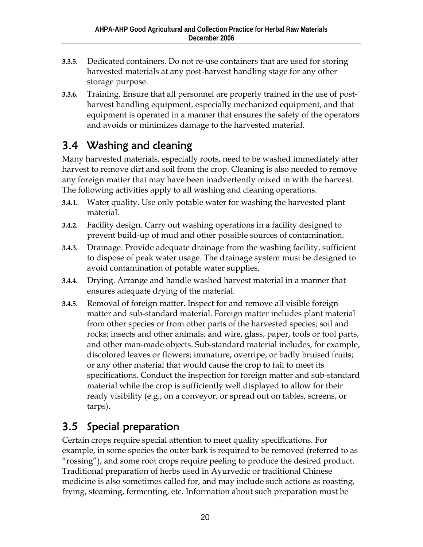- **3.3.5.** Dedicated containers. Do not re-use containers that are used for storing harvested materials at any post-harvest handling stage for any other storage purpose.
- **3.3.6.** Training. Ensure that all personnel are properly trained in the use of postharvest handling equipment, especially mechanized equipment, and that equipment is operated in a manner that ensures the safety of the operators and avoids or minimizes damage to the harvested material.

#### 3.4 Washing and cleaning

Many harvested materials, especially roots, need to be washed immediately after harvest to remove dirt and soil from the crop. Cleaning is also needed to remove any foreign matter that may have been inadvertently mixed in with the harvest. The following activities apply to all washing and cleaning operations.

- **3.4.1.** Water quality. Use only potable water for washing the harvested plant material.
- **3.4.2.** Facility design. Carry out washing operations in a facility designed to prevent build-up of mud and other possible sources of contamination.
- **3.4.3.** Drainage. Provide adequate drainage from the washing facility, sufficient to dispose of peak water usage. The drainage system must be designed to avoid contamination of potable water supplies.
- **3.4.4.** Drying. Arrange and handle washed harvest material in a manner that ensures adequate drying of the material.
- **3.4.5.** Removal of foreign matter. Inspect for and remove all visible foreign matter and sub-standard material. Foreign matter includes plant material from other species or from other parts of the harvested species; soil and rocks; insects and other animals; and wire, glass, paper, tools or tool parts, and other man-made objects. Sub-standard material includes, for example, discolored leaves or flowers; immature, overripe, or badly bruised fruits; or any other material that would cause the crop to fail to meet its specifications. Conduct the inspection for foreign matter and sub-standard material while the crop is sufficiently well displayed to allow for their ready visibility (e.g., on a conveyor, or spread out on tables, screens, or tarps).

#### 3.5 Special preparation

Certain crops require special attention to meet quality specifications. For example, in some species the outer bark is required to be removed (referred to as "rossing"), and some root crops require peeling to produce the desired product. Traditional preparation of herbs used in Ayurvedic or traditional Chinese medicine is also sometimes called for, and may include such actions as roasting, frying, steaming, fermenting, etc. Information about such preparation must be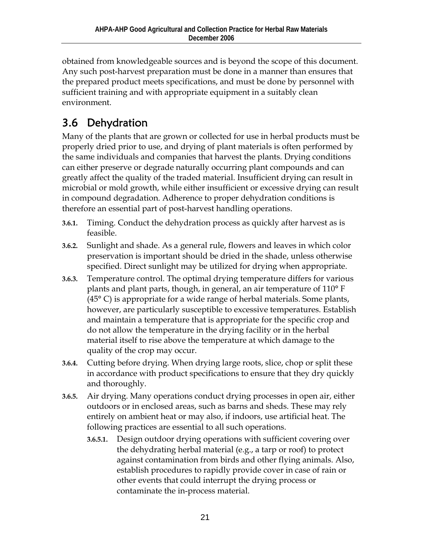obtained from knowledgeable sources and is beyond the scope of this document. Any such post-harvest preparation must be done in a manner than ensures that the prepared product meets specifications, and must be done by personnel with sufficient training and with appropriate equipment in a suitably clean environment.

### 3.6 Dehydration

Many of the plants that are grown or collected for use in herbal products must be properly dried prior to use, and drying of plant materials is often performed by the same individuals and companies that harvest the plants. Drying conditions can either preserve or degrade naturally occurring plant compounds and can greatly affect the quality of the traded material. Insufficient drying can result in microbial or mold growth, while either insufficient or excessive drying can result in compound degradation. Adherence to proper dehydration conditions is therefore an essential part of post-harvest handling operations.

- **3.6.1.** Timing. Conduct the dehydration process as quickly after harvest as is feasible.
- **3.6.2.** Sunlight and shade. As a general rule, flowers and leaves in which color preservation is important should be dried in the shade, unless otherwise specified. Direct sunlight may be utilized for drying when appropriate.
- **3.6.3.** Temperature control. The optimal drying temperature differs for various plants and plant parts, though, in general, an air temperature of 110° F (45° C) is appropriate for a wide range of herbal materials. Some plants, however, are particularly susceptible to excessive temperatures. Establish and maintain a temperature that is appropriate for the specific crop and do not allow the temperature in the drying facility or in the herbal material itself to rise above the temperature at which damage to the quality of the crop may occur.
- **3.6.4.** Cutting before drying. When drying large roots, slice, chop or split these in accordance with product specifications to ensure that they dry quickly and thoroughly.
- **3.6.5.** Air drying. Many operations conduct drying processes in open air, either outdoors or in enclosed areas, such as barns and sheds. These may rely entirely on ambient heat or may also, if indoors, use artificial heat. The following practices are essential to all such operations.
	- **3.6.5.1.** Design outdoor drying operations with sufficient covering over the dehydrating herbal material (e.g., a tarp or roof) to protect against contamination from birds and other flying animals. Also, establish procedures to rapidly provide cover in case of rain or other events that could interrupt the drying process or contaminate the in-process material.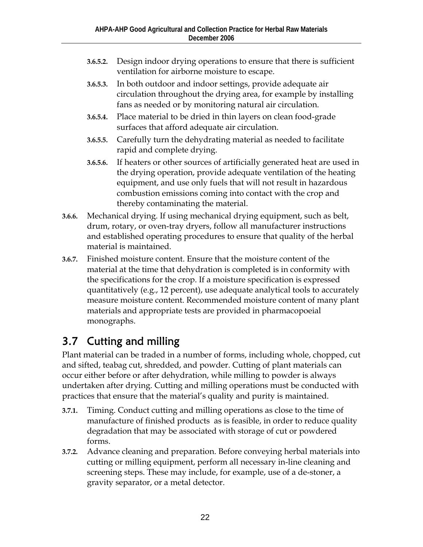- **3.6.5.2.** Design indoor drying operations to ensure that there is sufficient ventilation for airborne moisture to escape.
- **3.6.5.3.** In both outdoor and indoor settings, provide adequate air circulation throughout the drying area, for example by installing fans as needed or by monitoring natural air circulation.
- **3.6.5.4.** Place material to be dried in thin layers on clean food-grade surfaces that afford adequate air circulation.
- **3.6.5.5.** Carefully turn the dehydrating material as needed to facilitate rapid and complete drying.
- **3.6.5.6.** If heaters or other sources of artificially generated heat are used in the drying operation, provide adequate ventilation of the heating equipment, and use only fuels that will not result in hazardous combustion emissions coming into contact with the crop and thereby contaminating the material.
- **3.6.6.** Mechanical drying. If using mechanical drying equipment, such as belt, drum, rotary, or oven-tray dryers, follow all manufacturer instructions and established operating procedures to ensure that quality of the herbal material is maintained.
- **3.6.7.** Finished moisture content. Ensure that the moisture content of the material at the time that dehydration is completed is in conformity with the specifications for the crop. If a moisture specification is expressed quantitatively (e.g., 12 percent), use adequate analytical tools to accurately measure moisture content. Recommended moisture content of many plant materials and appropriate tests are provided in pharmacopoeial monographs.

#### 3.7 Cutting and milling

Plant material can be traded in a number of forms, including whole, chopped, cut and sifted, teabag cut, shredded, and powder. Cutting of plant materials can occur either before or after dehydration, while milling to powder is always undertaken after drying. Cutting and milling operations must be conducted with practices that ensure that the material's quality and purity is maintained.

- **3.7.1.** Timing. Conduct cutting and milling operations as close to the time of manufacture of finished products as is feasible, in order to reduce quality degradation that may be associated with storage of cut or powdered forms.
- **3.7.2.** Advance cleaning and preparation. Before conveying herbal materials into cutting or milling equipment, perform all necessary in-line cleaning and screening steps. These may include, for example, use of a de-stoner, a gravity separator, or a metal detector.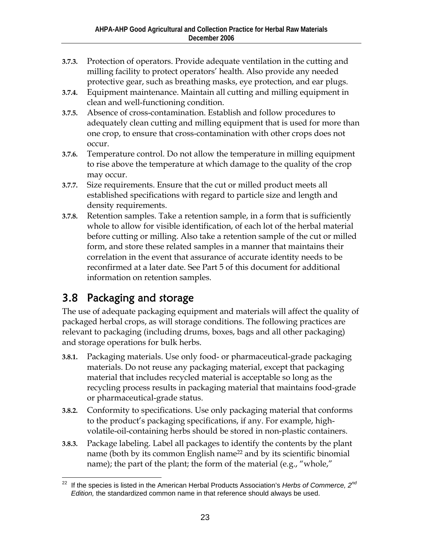- **3.7.3.** Protection of operators. Provide adequate ventilation in the cutting and milling facility to protect operators' health. Also provide any needed protective gear, such as breathing masks, eye protection, and ear plugs.
- **3.7.4.** Equipment maintenance. Maintain all cutting and milling equipment in clean and well-functioning condition.
- **3.7.5.** Absence of cross-contamination. Establish and follow procedures to adequately clean cutting and milling equipment that is used for more than one crop, to ensure that cross-contamination with other crops does not occur.
- **3.7.6.** Temperature control. Do not allow the temperature in milling equipment to rise above the temperature at which damage to the quality of the crop may occur.
- **3.7.7.** Size requirements. Ensure that the cut or milled product meets all established specifications with regard to particle size and length and density requirements.
- **3.7.8.** Retention samples. Take a retention sample, in a form that is sufficiently whole to allow for visible identification, of each lot of the herbal material before cutting or milling. Also take a retention sample of the cut or milled form, and store these related samples in a manner that maintains their correlation in the event that assurance of accurate identity needs to be reconfirmed at a later date. See Part 5 of this document for additional information on retention samples.

#### 3.8 Packaging and storage

The use of adequate packaging equipment and materials will affect the quality of packaged herbal crops, as will storage conditions. The following practices are relevant to packaging (including drums, boxes, bags and all other packaging) and storage operations for bulk herbs.

- **3.8.1.** Packaging materials. Use only food- or pharmaceutical-grade packaging materials. Do not reuse any packaging material, except that packaging material that includes recycled material is acceptable so long as the recycling process results in packaging material that maintains food-grade or pharmaceutical-grade status.
- **3.8.2.** Conformity to specifications. Use only packaging material that conforms to the product's packaging specifications, if any. For example, highvolatile-oil-containing herbs should be stored in non-plastic containers.
- **3.8.3.** Package labeling. Label all packages to identify the contents by the plant name (both by its common English name<sup>22</sup> and by its scientific binomial name); the part of the plant; the form of the material (e.g., "whole,"

<sup>22</sup> 22 If the species is listed in the American Herbal Products Association's *Herbs of Commerce, 2nd Edition,* the standardized common name in that reference should always be used.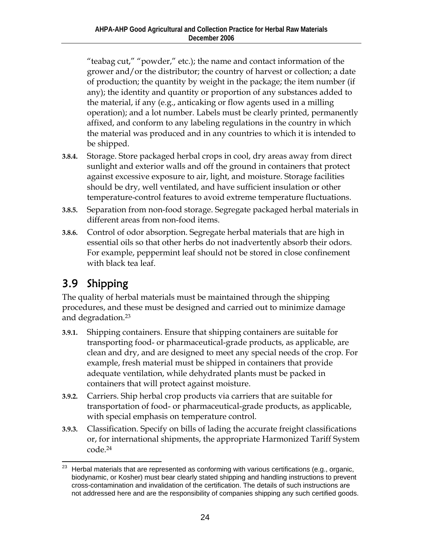"teabag cut," "powder," etc.); the name and contact information of the grower and/or the distributor; the country of harvest or collection; a date of production; the quantity by weight in the package; the item number (if any); the identity and quantity or proportion of any substances added to the material, if any (e.g., anticaking or flow agents used in a milling operation); and a lot number. Labels must be clearly printed, permanently affixed, and conform to any labeling regulations in the country in which the material was produced and in any countries to which it is intended to be shipped.

- **3.8.4.** Storage. Store packaged herbal crops in cool, dry areas away from direct sunlight and exterior walls and off the ground in containers that protect against excessive exposure to air, light, and moisture. Storage facilities should be dry, well ventilated, and have sufficient insulation or other temperature-control features to avoid extreme temperature fluctuations.
- **3.8.5.** Separation from non-food storage. Segregate packaged herbal materials in different areas from non-food items.
- **3.8.6.** Control of odor absorption. Segregate herbal materials that are high in essential oils so that other herbs do not inadvertently absorb their odors. For example, peppermint leaf should not be stored in close confinement with black tea leaf.

#### 3.9 Shipping

The quality of herbal materials must be maintained through the shipping procedures, and these must be designed and carried out to minimize damage and degradation.23

- **3.9.1.** Shipping containers. Ensure that shipping containers are suitable for transporting food- or pharmaceutical-grade products, as applicable, are clean and dry, and are designed to meet any special needs of the crop. For example, fresh material must be shipped in containers that provide adequate ventilation, while dehydrated plants must be packed in containers that will protect against moisture.
- **3.9.2.** Carriers. Ship herbal crop products via carriers that are suitable for transportation of food- or pharmaceutical-grade products, as applicable, with special emphasis on temperature control.
- **3.9.3.** Classification. Specify on bills of lading the accurate freight classifications or, for international shipments, the appropriate Harmonized Tariff System code.24

 $\overline{a}$ Herbal materials that are represented as conforming with various certifications (e.g., organic, biodynamic, or Kosher) must bear clearly stated shipping and handling instructions to prevent cross-contamination and invalidation of the certification. The details of such instructions are not addressed here and are the responsibility of companies shipping any such certified goods.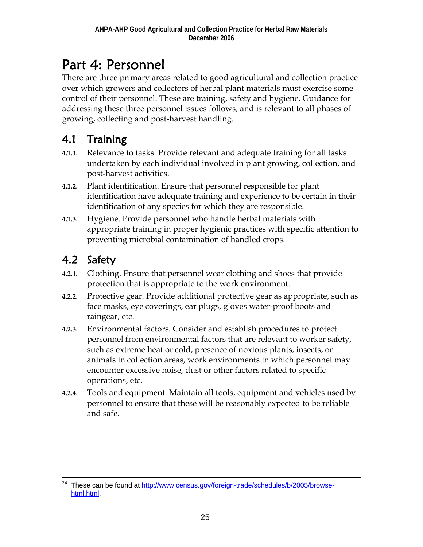### Part 4: Personnel

There are three primary areas related to good agricultural and collection practice over which growers and collectors of herbal plant materials must exercise some control of their personnel. These are training, safety and hygiene. Guidance for addressing these three personnel issues follows, and is relevant to all phases of growing, collecting and post-harvest handling.

#### 4.1 Training

- **4.1.1.** Relevance to tasks. Provide relevant and adequate training for all tasks undertaken by each individual involved in plant growing, collection, and post-harvest activities.
- **4.1.2.** Plant identification. Ensure that personnel responsible for plant identification have adequate training and experience to be certain in their identification of any species for which they are responsible.
- **4.1.3.** Hygiene. Provide personnel who handle herbal materials with appropriate training in proper hygienic practices with specific attention to preventing microbial contamination of handled crops.

#### 4.2 Safety

- **4.2.1.** Clothing. Ensure that personnel wear clothing and shoes that provide protection that is appropriate to the work environment.
- **4.2.2.** Protective gear. Provide additional protective gear as appropriate, such as face masks, eye coverings, ear plugs, gloves water-proof boots and raingear, etc.
- **4.2.3.** Environmental factors. Consider and establish procedures to protect personnel from environmental factors that are relevant to worker safety, such as extreme heat or cold, presence of noxious plants, insects, or animals in collection areas, work environments in which personnel may encounter excessive noise, dust or other factors related to specific operations, etc.
- **4.2.4.** Tools and equipment. Maintain all tools, equipment and vehicles used by personnel to ensure that these will be reasonably expected to be reliable and safe.

<sup>&</sup>lt;sup>24</sup> These can be found at http://www.census.gov/foreign-trade/schedules/b/2005/browsehtml.html.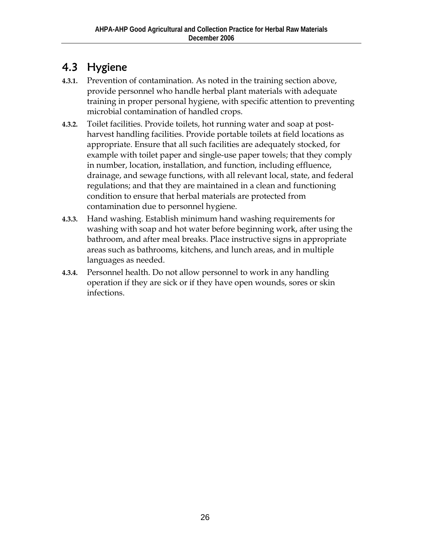#### 4.3 Hygiene

- **4.3.1.** Prevention of contamination. As noted in the training section above, provide personnel who handle herbal plant materials with adequate training in proper personal hygiene, with specific attention to preventing microbial contamination of handled crops.
- **4.3.2.** Toilet facilities. Provide toilets, hot running water and soap at postharvest handling facilities. Provide portable toilets at field locations as appropriate. Ensure that all such facilities are adequately stocked, for example with toilet paper and single-use paper towels; that they comply in number, location, installation, and function, including effluence, drainage, and sewage functions, with all relevant local, state, and federal regulations; and that they are maintained in a clean and functioning condition to ensure that herbal materials are protected from contamination due to personnel hygiene.
- **4.3.3.** Hand washing. Establish minimum hand washing requirements for washing with soap and hot water before beginning work, after using the bathroom, and after meal breaks. Place instructive signs in appropriate areas such as bathrooms, kitchens, and lunch areas, and in multiple languages as needed.
- **4.3.4.** Personnel health. Do not allow personnel to work in any handling operation if they are sick or if they have open wounds, sores or skin infections.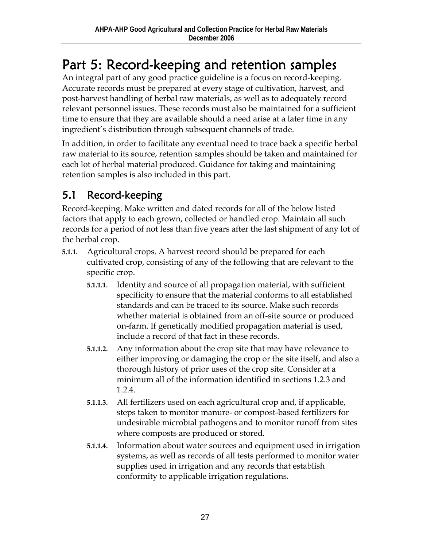# Part 5: Record-keeping and retention samples

An integral part of any good practice guideline is a focus on record-keeping. Accurate records must be prepared at every stage of cultivation, harvest, and post-harvest handling of herbal raw materials, as well as to adequately record relevant personnel issues. These records must also be maintained for a sufficient time to ensure that they are available should a need arise at a later time in any ingredient's distribution through subsequent channels of trade.

In addition, in order to facilitate any eventual need to trace back a specific herbal raw material to its source, retention samples should be taken and maintained for each lot of herbal material produced. Guidance for taking and maintaining retention samples is also included in this part.

#### 5.1 Record-keeping

Record-keeping. Make written and dated records for all of the below listed factors that apply to each grown, collected or handled crop. Maintain all such records for a period of not less than five years after the last shipment of any lot of the herbal crop.

- **5.1.1.** Agricultural crops. A harvest record should be prepared for each cultivated crop, consisting of any of the following that are relevant to the specific crop.
	- **5.1.1.1.** Identity and source of all propagation material, with sufficient specificity to ensure that the material conforms to all established standards and can be traced to its source. Make such records whether material is obtained from an off-site source or produced on-farm. If genetically modified propagation material is used, include a record of that fact in these records.
	- **5.1.1.2.** Any information about the crop site that may have relevance to either improving or damaging the crop or the site itself, and also a thorough history of prior uses of the crop site. Consider at a minimum all of the information identified in sections 1.2.3 and 1.2.4.
	- **5.1.1.3.** All fertilizers used on each agricultural crop and, if applicable, steps taken to monitor manure- or compost-based fertilizers for undesirable microbial pathogens and to monitor runoff from sites where composts are produced or stored.
	- **5.1.1.4.** Information about water sources and equipment used in irrigation systems, as well as records of all tests performed to monitor water supplies used in irrigation and any records that establish conformity to applicable irrigation regulations.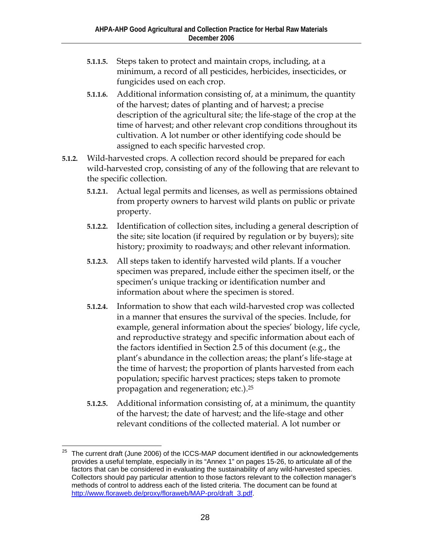- **5.1.1.5.** Steps taken to protect and maintain crops, including, at a minimum, a record of all pesticides, herbicides, insecticides, or fungicides used on each crop.
- **5.1.1.6.** Additional information consisting of, at a minimum, the quantity of the harvest; dates of planting and of harvest; a precise description of the agricultural site; the life-stage of the crop at the time of harvest; and other relevant crop conditions throughout its cultivation. A lot number or other identifying code should be assigned to each specific harvested crop.
- **5.1.2.** Wild-harvested crops. A collection record should be prepared for each wild-harvested crop, consisting of any of the following that are relevant to the specific collection.
	- **5.1.2.1.** Actual legal permits and licenses, as well as permissions obtained from property owners to harvest wild plants on public or private property.
	- **5.1.2.2.** Identification of collection sites, including a general description of the site; site location (if required by regulation or by buyers); site history; proximity to roadways; and other relevant information.
	- **5.1.2.3.** All steps taken to identify harvested wild plants. If a voucher specimen was prepared, include either the specimen itself, or the specimen's unique tracking or identification number and information about where the specimen is stored.
	- **5.1.2.4.** Information to show that each wild-harvested crop was collected in a manner that ensures the survival of the species. Include, for example, general information about the species' biology, life cycle, and reproductive strategy and specific information about each of the factors identified in Section 2.5 of this document (e.g., the plant's abundance in the collection areas; the plant's life-stage at the time of harvest; the proportion of plants harvested from each population; specific harvest practices; steps taken to promote propagation and regeneration; etc.).25
	- **5.1.2.5.** Additional information consisting of, at a minimum, the quantity of the harvest; the date of harvest; and the life-stage and other relevant conditions of the collected material. A lot number or

 $\overline{a}$ 25 The current draft (June 2006) of the ICCS-MAP document identified in our acknowledgements provides a useful template, especially in its "Annex 1" on pages 15-26, to articulate all of the factors that can be considered in evaluating the sustainability of any wild-harvested species. Collectors should pay particular attention to those factors relevant to the collection manager's methods of control to address each of the listed criteria. The document can be found at http://www.floraweb.de/proxy/floraweb/MAP-pro/draft\_3.pdf.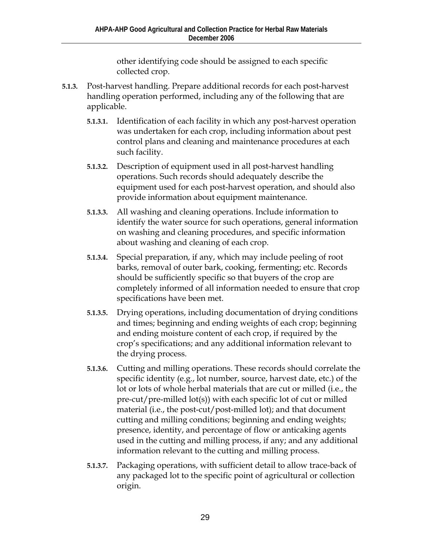other identifying code should be assigned to each specific collected crop.

- **5.1.3.** Post-harvest handling. Prepare additional records for each post-harvest handling operation performed, including any of the following that are applicable.
	- **5.1.3.1.** Identification of each facility in which any post-harvest operation was undertaken for each crop, including information about pest control plans and cleaning and maintenance procedures at each such facility.
	- **5.1.3.2.** Description of equipment used in all post-harvest handling operations. Such records should adequately describe the equipment used for each post-harvest operation, and should also provide information about equipment maintenance.
	- **5.1.3.3.** All washing and cleaning operations. Include information to identify the water source for such operations, general information on washing and cleaning procedures, and specific information about washing and cleaning of each crop.
	- **5.1.3.4.** Special preparation, if any, which may include peeling of root barks, removal of outer bark, cooking, fermenting; etc. Records should be sufficiently specific so that buyers of the crop are completely informed of all information needed to ensure that crop specifications have been met.
	- **5.1.3.5.** Drying operations, including documentation of drying conditions and times; beginning and ending weights of each crop; beginning and ending moisture content of each crop, if required by the crop's specifications; and any additional information relevant to the drying process.
	- **5.1.3.6.** Cutting and milling operations. These records should correlate the specific identity (e.g., lot number, source, harvest date, etc.) of the lot or lots of whole herbal materials that are cut or milled (i.e., the pre-cut/pre-milled lot(s)) with each specific lot of cut or milled material (i.e., the post-cut/post-milled lot); and that document cutting and milling conditions; beginning and ending weights; presence, identity, and percentage of flow or anticaking agents used in the cutting and milling process, if any; and any additional information relevant to the cutting and milling process.
	- **5.1.3.7.** Packaging operations, with sufficient detail to allow trace-back of any packaged lot to the specific point of agricultural or collection origin.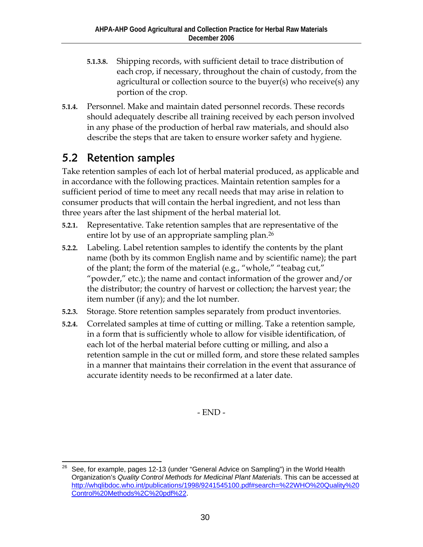- **5.1.3.8.** Shipping records, with sufficient detail to trace distribution of each crop, if necessary, throughout the chain of custody, from the agricultural or collection source to the buyer(s) who receive(s) any portion of the crop.
- **5.1.4.** Personnel. Make and maintain dated personnel records. These records should adequately describe all training received by each person involved in any phase of the production of herbal raw materials, and should also describe the steps that are taken to ensure worker safety and hygiene.

#### 5.2 Retention samples

Take retention samples of each lot of herbal material produced, as applicable and in accordance with the following practices. Maintain retention samples for a sufficient period of time to meet any recall needs that may arise in relation to consumer products that will contain the herbal ingredient, and not less than three years after the last shipment of the herbal material lot.

- **5.2.1.** Representative. Take retention samples that are representative of the entire lot by use of an appropriate sampling plan.<sup>26</sup>
- **5.2.2.** Labeling. Label retention samples to identify the contents by the plant name (both by its common English name and by scientific name); the part of the plant; the form of the material (e.g., "whole," "teabag cut," "powder," etc.); the name and contact information of the grower and/or the distributor; the country of harvest or collection; the harvest year; the item number (if any); and the lot number.
- **5.2.3.** Storage. Store retention samples separately from product inventories.
- **5.2.4.** Correlated samples at time of cutting or milling. Take a retention sample, in a form that is sufficiently whole to allow for visible identification, of each lot of the herbal material before cutting or milling, and also a retention sample in the cut or milled form, and store these related samples in a manner that maintains their correlation in the event that assurance of accurate identity needs to be reconfirmed at a later date.

- END -

 $\overline{a}$ 26 See, for example, pages 12-13 (under "General Advice on Sampling") in the World Health Organization's *Quality Control Methods for Medicinal Plant Materials*. This can be accessed at http://whqlibdoc.who.int/publications/1998/9241545100.pdf#search=%22WHO%20Quality%20 Control%20Methods%2C%20pdf%22.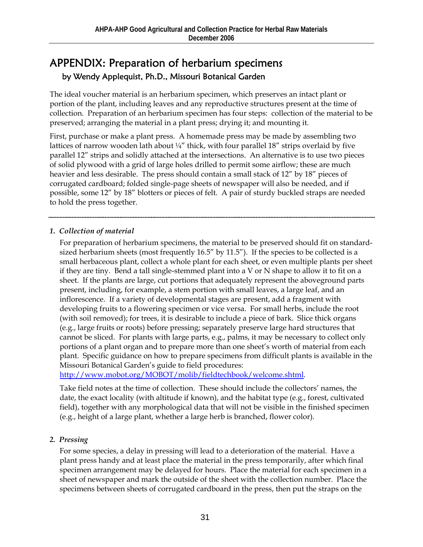#### APPENDIX: Preparation of herbarium specimens by Wendy Applequist, Ph.D., Missouri Botanical Garden

The ideal voucher material is an herbarium specimen, which preserves an intact plant or portion of the plant, including leaves and any reproductive structures present at the time of collection. Preparation of an herbarium specimen has four steps: collection of the material to be preserved; arranging the material in a plant press; drying it; and mounting it.

First, purchase or make a plant press. A homemade press may be made by assembling two lattices of narrow wooden lath about  $\frac{1}{4}$ " thick, with four parallel 18" strips overlaid by five parallel 12" strips and solidly attached at the intersections. An alternative is to use two pieces of solid plywood with a grid of large holes drilled to permit some airflow; these are much heavier and less desirable. The press should contain a small stack of 12" by 18" pieces of corrugated cardboard; folded single-page sheets of newspaper will also be needed, and if possible, some 12" by 18" blotters or pieces of felt. A pair of sturdy buckled straps are needed to hold the press together.

#### *1. Collection of material*

For preparation of herbarium specimens, the material to be preserved should fit on standardsized herbarium sheets (most frequently 16.5" by 11.5"). If the species to be collected is a small herbaceous plant, collect a whole plant for each sheet, or even multiple plants per sheet if they are tiny. Bend a tall single-stemmed plant into a V or N shape to allow it to fit on a sheet. If the plants are large, cut portions that adequately represent the aboveground parts present, including, for example, a stem portion with small leaves, a large leaf, and an inflorescence. If a variety of developmental stages are present, add a fragment with developing fruits to a flowering specimen or vice versa. For small herbs, include the root (with soil removed); for trees, it is desirable to include a piece of bark. Slice thick organs (e.g., large fruits or roots) before pressing; separately preserve large hard structures that cannot be sliced. For plants with large parts, e.g., palms, it may be necessary to collect only portions of a plant organ and to prepare more than one sheet's worth of material from each plant. Specific guidance on how to prepare specimens from difficult plants is available in the Missouri Botanical Garden's guide to field procedures:

http://www.mobot.org/MOBOT/molib/fieldtechbook/welcome.shtml.

Take field notes at the time of collection. These should include the collectors' names, the date, the exact locality (with altitude if known), and the habitat type (e.g., forest, cultivated field), together with any morphological data that will not be visible in the finished specimen (e.g., height of a large plant, whether a large herb is branched, flower color).

#### *2. Pressing*

For some species, a delay in pressing will lead to a deterioration of the material. Have a plant press handy and at least place the material in the press temporarily, after which final specimen arrangement may be delayed for hours. Place the material for each specimen in a sheet of newspaper and mark the outside of the sheet with the collection number. Place the specimens between sheets of corrugated cardboard in the press, then put the straps on the